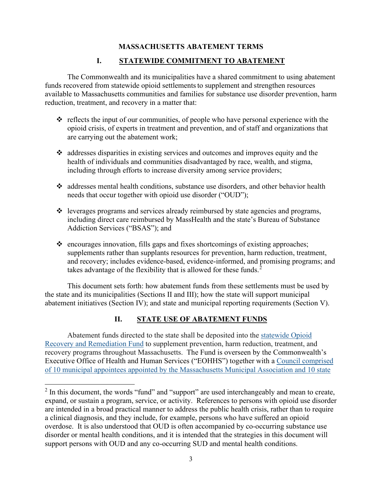### **MASSACHUSETTS ABATEMENT TERMS**

#### **I. STATEWIDE COMMITMENT TO ABATEMENT**

The Commonwealth and its municipalities have a shared commitment to using abatement funds recovered from statewide opioid settlements to supplement and strengthen resources available to Massachusetts communities and families for substance use disorder prevention, harm reduction, treatment, and recovery in a matter that:

- $\cdot \cdot$  reflects the input of our communities, of people who have personal experience with the opioid crisis, of experts in treatment and prevention, and of staff and organizations that are carrying out the abatement work;
- addresses disparities in existing services and outcomes and improves equity and the health of individuals and communities disadvantaged by race, wealth, and stigma, including through efforts to increase diversity among service providers;
- $\cdot$  addresses mental health conditions, substance use disorders, and other behavior health needs that occur together with opioid use disorder ("OUD");
- $\div$  leverages programs and services already reimbursed by state agencies and programs, including direct care reimbursed by MassHealth and the state's Bureau of Substance Addiction Services ("BSAS"); and
- $\div$  encourages innovation, fills gaps and fixes shortcomings of existing approaches; supplements rather than supplants resources for prevention, harm reduction, treatment, and recovery; includes evidence-based, evidence-informed, and promising programs; and takes advantage of the flexibility that is allowed for these funds.<sup>[2](#page-0-0)</sup>

This document sets forth: how abatement funds from these settlements must be used by the state and its municipalities (Sections II and III); how the state will support municipal abatement initiatives (Section IV); and state and municipal reporting requirements (Section V).

### **II. STATE USE OF ABATEMENT FUNDS**

 Abatement funds directed to the state shall be deposited into the [statewide Opioid](https://www.mass.gov/service-details/opioid-recovery-and-remediation-fund-advisory-council-statute)  [Recovery and Remediation Fund](https://www.mass.gov/service-details/opioid-recovery-and-remediation-fund-advisory-council-statute) to supplement prevention, harm reduction, treatment, and recovery programs throughout Massachusetts. The Fund is overseen by the Commonwealth's Executive Office of Health and Human Services ("EOHHS") together with a [Council comprised](https://www.mass.gov/service-details/opioid-recovery-and-remediation-fund-advisory-council-members)  [of 10 municipal appointees appointed by the Massachusetts Municipal Association and 10 state](https://www.mass.gov/service-details/opioid-recovery-and-remediation-fund-advisory-council-members) 

<span id="page-0-0"></span> $2$  In this document, the words "fund" and "support" are used interchangeably and mean to create, expand, or sustain a program, service, or activity. References to persons with opioid use disorder are intended in a broad practical manner to address the public health crisis, rather than to require a clinical diagnosis, and they include, for example, persons who have suffered an opioid overdose. It is also understood that OUD is often accompanied by co-occurring substance use disorder or mental health conditions, and it is intended that the strategies in this document will support persons with OUD and any co-occurring SUD and mental health conditions.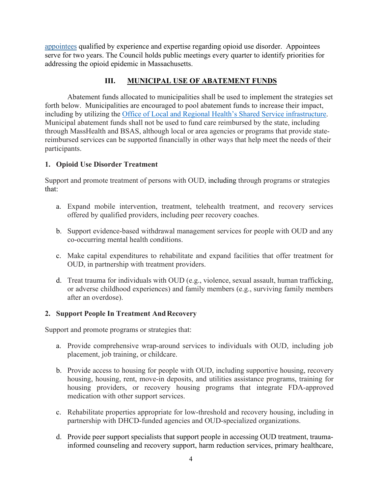[appointees](https://www.mass.gov/service-details/opioid-recovery-and-remediation-fund-advisory-council-members) qualified by experience and expertise regarding opioid use disorder. Appointees serve for two years. The Council holds public meetings every quarter to identify priorities for addressing the opioid epidemic in Massachusetts.

### **III. MUNICIPAL USE OF ABATEMENT FUNDS**

Abatement funds allocated to municipalities shall be used to implement the strategies set forth below. Municipalities are encouraged to pool abatement funds to increase their impact, including by utilizing the [Office of Local and Regional Health's Shared Service infrastructure.](https://www.mass.gov/service-details/public-health-shared-services) Municipal abatement funds shall not be used to fund care reimbursed by the state, including through MassHealth and BSAS, although local or area agencies or programs that provide statereimbursed services can be supported financially in other ways that help meet the needs of their participants.

### **1. Opioid Use Disorder Treatment**

Support and promote treatment of persons with OUD, including through programs or strategies that:

- a. Expand mobile intervention, treatment, telehealth treatment, and recovery services offered by qualified providers, including peer recovery coaches.
- b. Support evidence-based withdrawal management services for people with OUD and any co-occurring mental health conditions.
- c. Make capital expenditures to rehabilitate and expand facilities that offer treatment for OUD, in partnership with treatment providers.
- d. Treat trauma for individuals with OUD (e.g., violence, sexual assault, human trafficking, or adverse childhood experiences) and family members (e.g., surviving family members after an overdose).

### **2. Support People In Treatment AndRecovery**

Support and promote programs or strategies that:

- a. Provide comprehensive wrap-around services to individuals with OUD, including job placement, job training, or childcare.
- b. Provide access to housing for people with OUD, including supportive housing, recovery housing, housing, rent, move-in deposits, and utilities assistance programs, training for housing providers, or recovery housing programs that integrate FDA-approved medication with other support services.
- c. Rehabilitate properties appropriate for low-threshold and recovery housing, including in partnership with DHCD-funded agencies and OUD-specialized organizations.
- d. Provide peer support specialists that support people in accessing OUD treatment, traumainformed counseling and recovery support, harm reduction services, primary healthcare,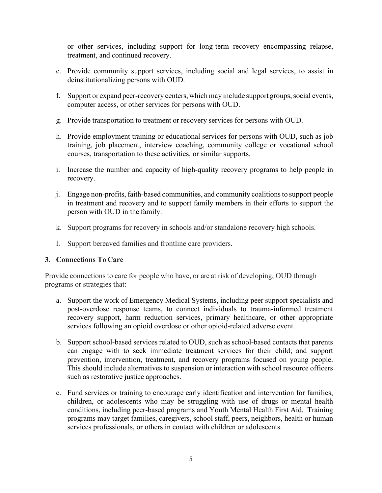or other services, including support for long-term recovery encompassing relapse, treatment, and continued recovery.

- e. Provide community support services, including social and legal services, to assist in deinstitutionalizing persons with OUD.
- f. Support or expand peer-recovery centers, which may include support groups, social events, computer access, or other services for persons with OUD.
- g. Provide transportation to treatment or recovery services for persons with OUD.
- h. Provide employment training or educational services for persons with OUD, such as job training, job placement, interview coaching, community college or vocational school courses, transportation to these activities, or similar supports.
- i. Increase the number and capacity of high-quality recovery programs to help people in recovery.
- j. Engage non-profits, faith-based communities, and community coalitionsto support people in treatment and recovery and to support family members in their efforts to support the person with OUD in the family.
- k. Support programs for recovery in schools and/or standalone recovery high schools.
- l. Support bereaved families and frontline care providers.

### **3. Connections To Care**

Provide connections to care for people who have, or are at risk of developing, OUD through programs or strategies that:

- a. Support the work of Emergency Medical Systems, including peer support specialists and post-overdose response teams, to connect individuals to trauma-informed treatment recovery support, harm reduction services, primary healthcare, or other appropriate services following an opioid overdose or other opioid-related adverse event.
- b. Support school-based services related to OUD, such as school-based contacts that parents can engage with to seek immediate treatment services for their child; and support prevention, intervention, treatment, and recovery programs focused on young people. This should include alternatives to suspension or interaction with school resource officers such as restorative justice approaches.
- c. Fund services or training to encourage early identification and intervention for families, children, or adolescents who may be struggling with use of drugs or mental health conditions, including peer-based programs and Youth Mental Health First Aid. Training programs may target families, caregivers, school staff, peers, neighbors, health or human services professionals, or others in contact with children or adolescents.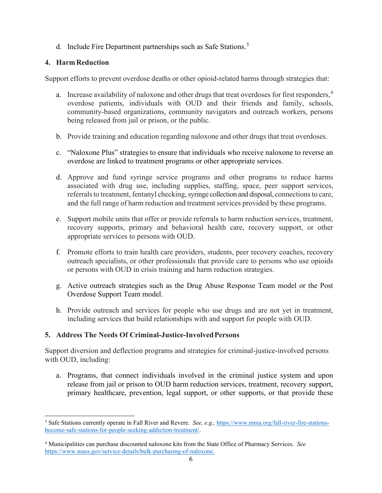d. Include Fire Department partnerships such as Safe Stations.<sup>[3](#page-3-0)</sup>

## **4. HarmReduction**

Support efforts to prevent overdose deaths or other opioid-related harms through strategies that:

- a. Increase availability of naloxone and other drugs that treat overdoses for first responders,<sup>[4](#page-3-1)</sup> overdose patients, individuals with OUD and their friends and family, schools, community-based organizations, community navigators and outreach workers, persons being released from jail or prison, or the public.
- b. Provide training and education regarding naloxone and other drugs that treat overdoses.
- c. "Naloxone Plus" strategies to ensure that individuals who receive naloxone to reverse an overdose are linked to treatment programs or other appropriate services.
- d. Approve and fund syringe service programs and other programs to reduce harms associated with drug use, including supplies, staffing, space, peer support services, referrals to treatment, fentanyl checking, syringe collection and disposal, connections to care, and the full range of harm reduction and treatment services provided by these programs.
- e. Support mobile units that offer or provide referrals to harm reduction services, treatment, recovery supports, primary and behavioral health care, recovery support, or other appropriate services to persons with OUD.
- f. Promote efforts to train health care providers, students, peer recovery coaches, recovery outreach specialists, or other professionals that provide care to persons who use opioids or persons with OUD in crisis training and harm reduction strategies.
- g. Active outreach strategies such as the Drug Abuse Response Team model or the Post Overdose Support Team model.
- h. Provide outreach and services for people who use drugs and are not yet in treatment, including services that build relationships with and support for people with OUD.

# **5. Address The Needs Of Criminal-Justice-Involved Persons**

Support diversion and deflection programs and strategies for criminal-justice-involved persons with OUD, including:

a. Programs, that connect individuals involved in the criminal justice system and upon release from jail or prison to OUD harm reduction services, treatment, recovery support, primary healthcare, prevention, legal support, or other supports, or that provide these

<span id="page-3-0"></span><sup>3</sup> Safe Stations currently operate in Fall River and Revere. *See, e.g.,* [https://www.mma.org/fall-river-fire-stations](https://www.mma.org/fall-river-fire-stations-become-safe-stations-for-people-seeking-addiction-treatment/)[become-safe-stations-for-people-seeking-addiction-treatment/.](https://www.mma.org/fall-river-fire-stations-become-safe-stations-for-people-seeking-addiction-treatment/)

<span id="page-3-1"></span><sup>4</sup> Municipalities can purchase discounted naloxone kits from the State Office of Pharmacy Services. *See* [https://www.mass.gov/service-details/bulk-purchasing-of-naloxone.](https://www.mass.gov/service-details/bulk-purchasing-of-naloxone)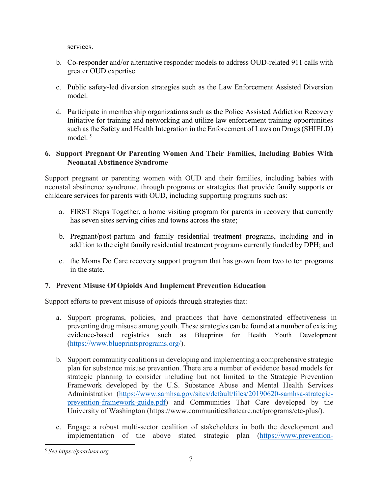services.

- b. Co-responder and/or alternative responder models to address OUD-related 911 calls with greater OUD expertise.
- c. Public safety-led diversion strategies such as the Law Enforcement Assisted Diversion model.
- d. Participate in membership organizations such as the Police Assisted Addiction Recovery Initiative for training and networking and utilize law enforcement training opportunities such as the Safety and Health Integration in the Enforcement of Laws on Drugs (SHIELD) model.<sup>[5](#page-4-0)</sup>

## **6. Support Pregnant Or Parenting Women And Their Families, Including Babies With Neonatal Abstinence Syndrome**

Support pregnant or parenting women with OUD and their families, including babies with neonatal abstinence syndrome, through programs or strategies that provide family supports or childcare services for parents with OUD, including supporting programs such as:

- a. FIRST Steps Together, a home visiting program for parents in recovery that currently has seven sites serving cities and towns across the state;
- b. Pregnant/post-partum and family residential treatment programs, including and in addition to the eight family residential treatment programs currently funded by DPH; and
- c. the Moms Do Care recovery support program that has grown from two to ten programs in the state.

## **7. Prevent Misuse Of Opioids And Implement Prevention Education**

Support efforts to prevent misuse of opioids through strategies that:

- a. Support programs, policies, and practices that have demonstrated effectiveness in preventing drug misuse among youth. These strategies can be found at a number of existing evidence-based registries such as Blueprints for Health Youth Development [\(https://www.blueprintsprograms.org/\)](https://www.blueprintsprograms.org/)).
- b. Support community coalitions in developing and implementing a comprehensive strategic plan for substance misuse prevention. There are a number of evidence based models for strategic planning to consider including but not limited to the Strategic Prevention Framework developed by the U.S. Substance Abuse and Mental Health Services Administration [\(https://www.samhsa.gov/sites/default/files/20190620-samhsa-strategic](https://www.samhsa.gov/sites/default/files/20190620-samhsa-strategic-prevention-framework-guide.pdf)[prevention-framework-guide.pdf\)](https://www.samhsa.gov/sites/default/files/20190620-samhsa-strategic-prevention-framework-guide.pdf) and Communities That Care developed by the University of Washington (https://www.communitiesthatcare.net/programs/ctc-plus/).
- c. Engage a robust multi-sector coalition of stakeholders in both the development and implementation of the above stated strategic plan [\(https://www.prevention-](https://www.prevention-first.org/centers/center-for-community-engagement/about-this-center/)

<span id="page-4-0"></span><sup>5</sup> *See https://paariusa.org*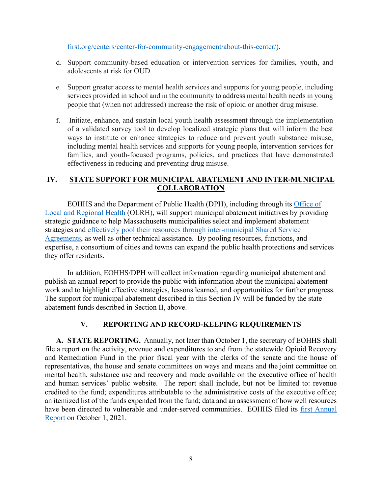[first.org/centers/center-for-community-engagement/about-this-center/\)](https://www.prevention-first.org/centers/center-for-community-engagement/about-this-center/).

- d. Support community-based education or intervention services for families, youth, and adolescents at risk for OUD.
- e. Support greater access to mental health services and supports for young people, including services provided in school and in the community to address mental health needs in young people that (when not addressed) increase the risk of opioid or another drug misuse.
- f. Initiate, enhance, and sustain local youth health assessment through the implementation of a validated survey tool to develop localized strategic plans that will inform the best ways to institute or enhance strategies to reduce and prevent youth substance misuse, including mental health services and supports for young people, intervention services for families, and youth-focused programs, policies, and practices that have demonstrated effectiveness in reducing and preventing drug misuse.

## **IV. STATE SUPPORT FOR MUNICIPAL ABATEMENT AND INTER-MUNICIPAL COLLABORATION**

EOHHS and the Department of Public Health (DPH), including through its [Office of](https://www.mass.gov/service-details/public-health-shared-services)  [Local and Regional Health](https://www.mass.gov/service-details/public-health-shared-services) (OLRH), will support municipal abatement initiatives by providing strategic guidance to help Massachusetts municipalities select and implement abatement strategies and [effectively pool their resources through inter-municipal Shared Service](https://www.mass.gov/service-details/public-health-shared-services)  [Agreements,](https://www.mass.gov/service-details/public-health-shared-services) as well as other technical assistance. By pooling resources, functions, and expertise, a consortium of cities and towns can expand the public health protections and services they offer residents.

In addition, EOHHS/DPH will collect information regarding municipal abatement and publish an annual report to provide the public with information about the municipal abatement work and to highlight effective strategies, lessons learned, and opportunities for further progress. The support for municipal abatement described in this Section IV will be funded by the state abatement funds described in Section II, above.

## **V. REPORTING AND RECORD-KEEPING REQUIREMENTS**

**A. STATE REPORTING.** Annually, not later than October 1, the secretary of EOHHS shall file a report on the activity, revenue and expenditures to and from the statewide Opioid Recovery and Remediation Fund in the prior fiscal year with the clerks of the senate and the house of representatives, the house and senate committees on ways and means and the joint committee on mental health, substance use and recovery and made available on the executive office of health and human services' public website. The report shall include, but not be limited to: revenue credited to the fund; expenditures attributable to the administrative costs of the executive office; an itemized list of the funds expended from the fund; data and an assessment of how well resources have been directed to vulnerable and under-served communities. EOHHS filed its [first Annual](https://www.mass.gov/doc/orrf-advisory-council-annual-report-2020-0/download)  [Report](https://www.mass.gov/doc/orrf-advisory-council-annual-report-2020-0/download) on October 1, 2021.